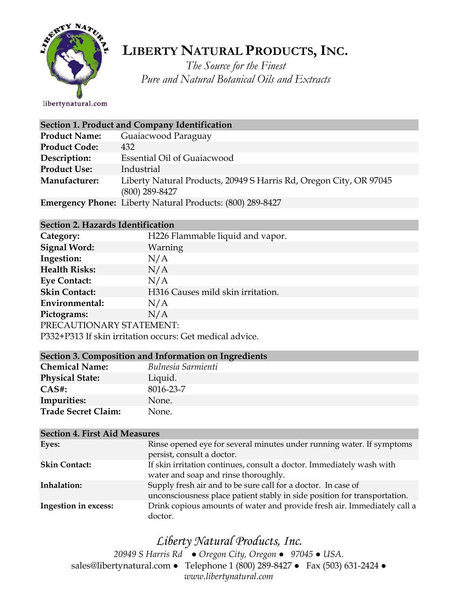

## **LIBERTY NATURAL PRODUCTS,INC.**

*The Source for the Finest Pure and Natural Botanical Oils and Extracts*

libertynatural.com

| Section 1. Product and Company Identification |                                                                                        |  |
|-----------------------------------------------|----------------------------------------------------------------------------------------|--|
| <b>Product Name:</b>                          | Guaiacwood Paraguay                                                                    |  |
| <b>Product Code:</b>                          | 432                                                                                    |  |
| Description:                                  | Essential Oil of Guaiacwood                                                            |  |
| <b>Product Use:</b>                           | Industrial                                                                             |  |
| Manufacturer:                                 | Liberty Natural Products, 20949 S Harris Rd, Oregon City, OR 97045<br>$(800)$ 289-8427 |  |
|                                               | <b>Emergency Phone:</b> Liberty Natural Products: (800) 289-8427                       |  |

## **Section 2. Hazards Identification**

| Category:                                                | H226 Flammable liquid and vapor.  |  |
|----------------------------------------------------------|-----------------------------------|--|
| <b>Signal Word:</b>                                      | <b>Warning</b>                    |  |
| Ingestion:                                               | N/A                               |  |
| <b>Health Risks:</b>                                     | N/A                               |  |
| <b>Eye Contact:</b>                                      | N/A                               |  |
| <b>Skin Contact:</b>                                     | H316 Causes mild skin irritation. |  |
| Environmental:                                           | N/A                               |  |
| Pictograms:                                              | N/A                               |  |
| PRECAUTIONARY STATEMENT:                                 |                                   |  |
| P332+P313 If skin irritation occurs: Get medical advice. |                                   |  |

| Section 3. Composition and Information on Ingredients |                    |  |
|-------------------------------------------------------|--------------------|--|
| <b>Chemical Name:</b>                                 | Bulnesia Sarmienti |  |
| <b>Physical State:</b>                                | Liquid.            |  |
| $CAS#$ :                                              | 8016-23-7          |  |
| Impurities:                                           | None.              |  |
| <b>Trade Secret Claim:</b>                            | None.              |  |

| <b>Section 4. First Aid Measures</b> |                                                                                                                                            |  |
|--------------------------------------|--------------------------------------------------------------------------------------------------------------------------------------------|--|
| Eyes:                                | Rinse opened eye for several minutes under running water. If symptoms<br>persist, consult a doctor.                                        |  |
| <b>Skin Contact:</b>                 | If skin irritation continues, consult a doctor. Immediately wash with<br>water and soap and rinse thoroughly.                              |  |
| Inhalation:                          | Supply fresh air and to be sure call for a doctor. In case of<br>unconsciousness place patient stably in side position for transportation. |  |
| Ingestion in excess:                 | Drink copious amounts of water and provide fresh air. Immediately call a<br>doctor.                                                        |  |

## *Liberty Natural Products, Inc.*

*20949 S Harris Rd ● Oregon City, Oregon ● 97045 ● USA.*  sales@libertynatural.com *●* Telephone 1 (800) 289-8427 ● Fax (503) 631-2424 *● www.libertynatural.com*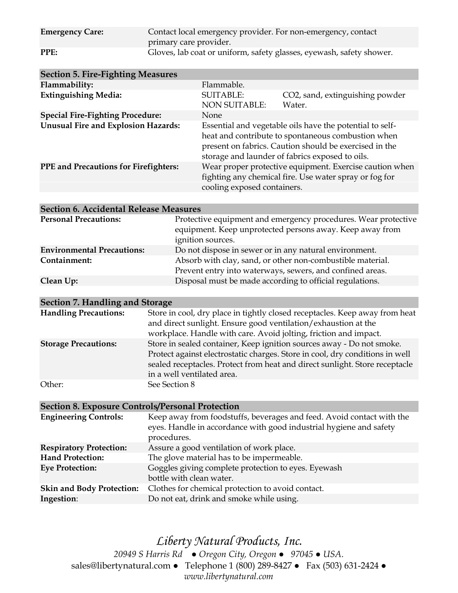| <b>Emergency Care:</b> | Contact local emergency provider. For non-emergency, contact<br>primary care provider. |
|------------------------|----------------------------------------------------------------------------------------|
| PPE:                   | Gloves, lab coat or uniform, safety glasses, eyewash, safety shower.                   |

| <b>Section 5. Fire-Fighting Measures</b>     |                                                                                                                                                                                                                             |                                           |
|----------------------------------------------|-----------------------------------------------------------------------------------------------------------------------------------------------------------------------------------------------------------------------------|-------------------------------------------|
| Flammability:                                | Flammable.                                                                                                                                                                                                                  |                                           |
| <b>Extinguishing Media:</b>                  | <b>SUITABLE:</b><br><b>NON SUITABLE:</b>                                                                                                                                                                                    | CO2, sand, extinguishing powder<br>Water. |
| <b>Special Fire-Fighting Procedure:</b>      | <b>None</b>                                                                                                                                                                                                                 |                                           |
| <b>Unusual Fire and Explosion Hazards:</b>   | Essential and vegetable oils have the potential to self-<br>heat and contribute to spontaneous combustion when<br>present on fabrics. Caution should be exercised in the<br>storage and launder of fabrics exposed to oils. |                                           |
| <b>PPE</b> and Precautions for Firefighters: | Wear proper protective equipment. Exercise caution when<br>fighting any chemical fire. Use water spray or fog for<br>cooling exposed containers.                                                                            |                                           |

| <b>Section 6. Accidental Release Measures</b> |                                                                                                                                                 |  |
|-----------------------------------------------|-------------------------------------------------------------------------------------------------------------------------------------------------|--|
| <b>Personal Precautions:</b>                  | Protective equipment and emergency procedures. Wear protective<br>equipment. Keep unprotected persons away. Keep away from<br>ignition sources. |  |
| <b>Environmental Precautions:</b>             | Do not dispose in sewer or in any natural environment.                                                                                          |  |
| Containment:                                  | Absorb with clay, sand, or other non-combustible material.<br>Prevent entry into waterways, sewers, and confined areas.                         |  |
| Clean Up:                                     | Disposal must be made according to official regulations.                                                                                        |  |

| Section 7. Handling and Storage |                                                                                                                                                                                                                                                                    |
|---------------------------------|--------------------------------------------------------------------------------------------------------------------------------------------------------------------------------------------------------------------------------------------------------------------|
| <b>Handling Precautions:</b>    | Store in cool, dry place in tightly closed receptacles. Keep away from heat<br>and direct sunlight. Ensure good ventilation/exhaustion at the<br>workplace. Handle with care. Avoid jolting, friction and impact.                                                  |
| <b>Storage Precautions:</b>     | Store in sealed container, Keep ignition sources away - Do not smoke.<br>Protect against electrostatic charges. Store in cool, dry conditions in well<br>sealed receptacles. Protect from heat and direct sunlight. Store receptacle<br>in a well ventilated area. |
| Other:                          | See Section 8                                                                                                                                                                                                                                                      |

**Section 8. Exposure Controls/Personal Protection Engineering Controls:** Keep away from foodstuffs, beverages and feed. Avoid contact with the eyes. Handle in accordance with good industrial hygiene and safety procedures. **Respiratory Protection:** Assure a good ventilation of work place. **Hand Protection:** The glove material has to be impermeable. **Eye Protection:** Goggles giving complete protection to eyes. Eyewash bottle with clean water. **Skin and Body Protection:** Clothes for chemical protection to avoid contact. **Ingestion**: Do not eat, drink and smoke while using.

*Liberty Natural Products, Inc. 20949 S Harris Rd ● Oregon City, Oregon ● 97045 ● USA.*  sales@libertynatural.com *●* Telephone 1 (800) 289-8427 ● Fax (503) 631-2424 *● www.libertynatural.com*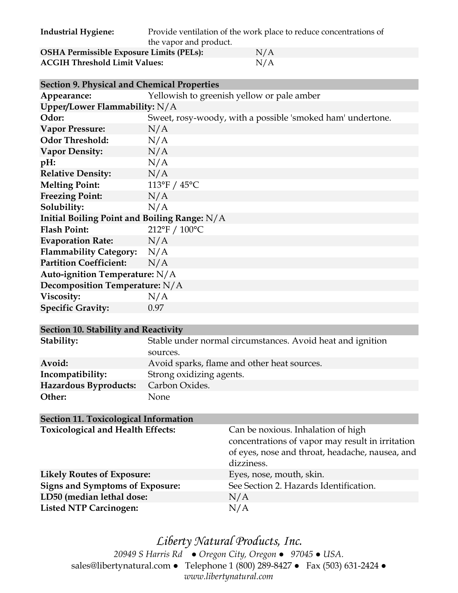| <b>Industrial Hygiene:</b>                      | Provide ventilation of the work place to reduce concentrations of |     |
|-------------------------------------------------|-------------------------------------------------------------------|-----|
|                                                 | the vapor and product.                                            |     |
| <b>OSHA Permissible Exposure Limits (PELs):</b> |                                                                   | N/A |
| <b>ACGIH Threshold Limit Values:</b>            |                                                                   | N/A |

| <b>Section 9. Physical and Chemical Properties</b> |                                                            |  |
|----------------------------------------------------|------------------------------------------------------------|--|
| Appearance:                                        | Yellowish to greenish yellow or pale amber                 |  |
| Upper/Lower Flammability: $N/A$                    |                                                            |  |
| Odor:                                              | Sweet, rosy-woody, with a possible 'smoked ham' undertone. |  |
| <b>Vapor Pressure:</b>                             | N/A                                                        |  |
| <b>Odor Threshold:</b>                             | N/A                                                        |  |
| <b>Vapor Density:</b>                              | N/A                                                        |  |
| $pH$ :                                             | N/A                                                        |  |
| <b>Relative Density:</b>                           | N/A                                                        |  |
| <b>Melting Point:</b>                              | 113°F / $45^{\circ}$ C                                     |  |
| <b>Freezing Point:</b>                             | N/A                                                        |  |
| Solubility:                                        | N/A                                                        |  |
| Initial Boiling Point and Boiling Range: $N/A$     |                                                            |  |
| <b>Flash Point:</b>                                | 212°F / 100°C                                              |  |
| <b>Evaporation Rate:</b>                           | N/A                                                        |  |
| Flammability Category: N/A                         |                                                            |  |
| <b>Partition Coefficient:</b>                      | N/A                                                        |  |
| Auto-ignition Temperature: N/A                     |                                                            |  |
| Decomposition Temperature: N/A                     |                                                            |  |
| Viscosity:                                         | N/A                                                        |  |
| <b>Specific Gravity:</b>                           | 0.97                                                       |  |

| Section 10. Stability and Reactivity |                                                            |  |
|--------------------------------------|------------------------------------------------------------|--|
| Stability:                           | Stable under normal circumstances. Avoid heat and ignition |  |
|                                      | sources.                                                   |  |
| Avoid:                               | Avoid sparks, flame and other heat sources.                |  |
| Incompatibility:                     | Strong oxidizing agents.                                   |  |
| Hazardous Byproducts:                | Carbon Oxides.                                             |  |
| Other:                               | None                                                       |  |

| <b>Section 11. Toxicological Information</b> |                                                                                                                                                         |
|----------------------------------------------|---------------------------------------------------------------------------------------------------------------------------------------------------------|
| <b>Toxicological and Health Effects:</b>     | Can be noxious. Inhalation of high<br>concentrations of vapor may result in irritation<br>of eyes, nose and throat, headache, nausea, and<br>dizziness. |
| <b>Likely Routes of Exposure:</b>            | Eyes, nose, mouth, skin.                                                                                                                                |
| <b>Signs and Symptoms of Exposure:</b>       | See Section 2. Hazards Identification.                                                                                                                  |
| LD50 (median lethal dose:                    | N/A                                                                                                                                                     |
| <b>Listed NTP Carcinogen:</b>                | N/A                                                                                                                                                     |

*Liberty Natural Products, Inc. 20949 S Harris Rd ● Oregon City, Oregon ● 97045 ● USA.*  sales@libertynatural.com *●* Telephone 1 (800) 289-8427 ● Fax (503) 631-2424 *● www.libertynatural.com*